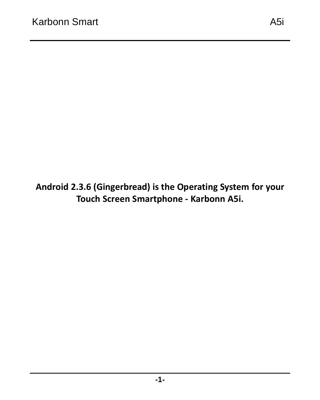#### **Android 2.3.6 (Gingerbread) is the Operating System for your Touch Screen Smartphone - Karbonn A5i.**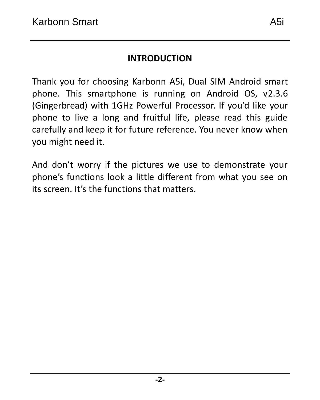#### **INTRODUCTION**

Thank you for choosing Karbonn A5i, Dual SIM Android smart phone. This smartphone is running on Android OS, v2.3.6 (Gingerbread) with 1GHz Powerful Processor. If you'd like your phone to live a long and fruitful life, please read this guide carefully and keep it for future reference. You never know when you might need it.

And don't worry if the pictures we use to demonstrate your phone's functions look a little different from what you see on its screen. It's the functions that matters.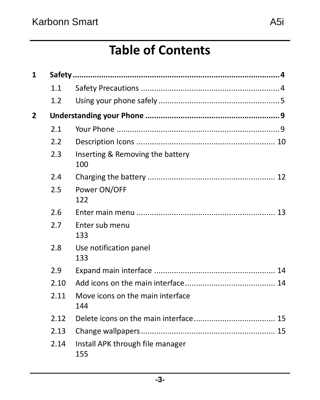### **Table of Contents**

| 1              |      |                                         |  |
|----------------|------|-----------------------------------------|--|
|                | 1.1  |                                         |  |
|                | 1.2  |                                         |  |
| $\overline{2}$ |      |                                         |  |
|                | 2.1  |                                         |  |
|                | 2.2  |                                         |  |
|                | 2.3  | Inserting & Removing the battery<br>100 |  |
|                | 2.4  |                                         |  |
|                | 2.5  | Power ON/OFF<br>122                     |  |
|                | 2.6  |                                         |  |
|                | 2.7  | Enter sub menu<br>133                   |  |
|                | 2.8  | Use notification panel<br>133           |  |
|                | 2.9  |                                         |  |
|                | 2.10 |                                         |  |
|                | 2.11 | Move icons on the main interface<br>144 |  |
|                | 2.12 |                                         |  |
|                | 2.13 |                                         |  |
|                | 2.14 | Install APK through file manager<br>155 |  |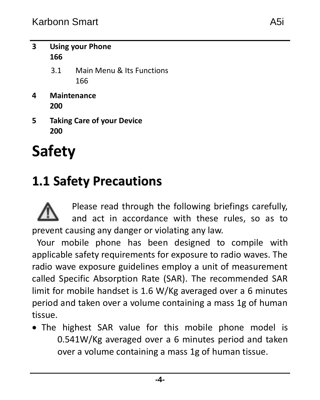- **3 [Using your Phone](#page-16-0) [166](#page-16-0)**
	- 3.1 [Main Menu & Its Functions](#page-16-1) [166](#page-16-1)
- **4 [Maintenance](#page-20-0) [200](#page-20-0)**
- **5 [Taking Care of your Device](#page-20-1) [200](#page-20-1)**

# <span id="page-3-0"></span>**Safety**

### <span id="page-3-1"></span>**1.1 Safety Precautions**

Please read through the following briefings carefully, and act in accordance with these rules, so as to prevent causing any danger or violating any law.

Your mobile phone has been designed to compile with applicable safety requirements for exposure to radio waves. The radio wave exposure guidelines employ a unit of measurement called Specific Absorption Rate (SAR). The recommended SAR limit for mobile handset is 1.6 W/Kg averaged over a 6 minutes period and taken over a volume containing a mass 1g of human tissue.

 The highest SAR value for this mobile phone model is 0.541W/Kg averaged over a 6 minutes period and taken over a volume containing a mass 1g of human tissue.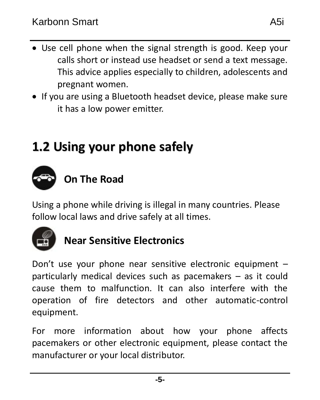- Use cell phone when the signal strength is good. Keep your calls short or instead use headset or send a text message. This advice applies especially to children, adolescents and pregnant women.
- If you are using a Bluetooth headset device, please make sure it has a low power emitter.

## <span id="page-4-0"></span>**1.2 Using your phone safely**



Using a phone while driving is illegal in many countries. Please follow local laws and drive safely at all times.



### **Near Sensitive Electronics**

Don't use your phone near sensitive electronic equipment – particularly medical devices such as pacemakers – as it could cause them to malfunction. It can also interfere with the operation of fire detectors and other automatic-control equipment.

For more information about how your phone affects pacemakers or other electronic equipment, please contact the manufacturer or your local distributor.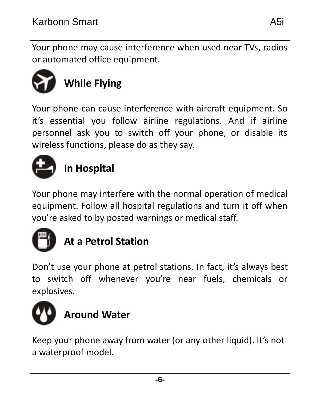Your phone may cause interference when used near TVs, radios or automated office equipment.



Your phone can cause interference with aircraft equipment. So it's essential you follow airline regulations. And if airline personnel ask you to switch off your phone, or disable its wireless functions, please do as they say.



### **In Hospital**

Your phone may interfere with the normal operation of medical equipment. Follow all hospital regulations and turn it off when you're asked to by posted warnings or medical staff.



### **At a Petrol Station**

Don't use your phone at petrol stations. In fact, it's always best to switch off whenever you're near fuels, chemicals or explosives.



Keep your phone away from water (or any other liquid). It's not a waterproof model.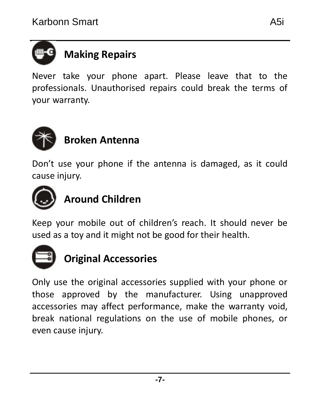# **Making Repairs**

Never take your phone apart. Please leave that to the professionals. Unauthorised repairs could break the terms of your warranty.



### **Broken Antenna**

Don't use your phone if the antenna is damaged, as it could cause injury.



### **Around Children**

Keep your mobile out of children's reach. It should never be used as a toy and it might not be good for their health.



### **Original Accessories**

Only use the original accessories supplied with your phone or those approved by the manufacturer. Using unapproved accessories may affect performance, make the warranty void, break national regulations on the use of mobile phones, or even cause injury.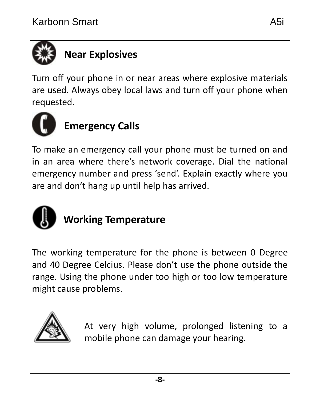

Turn off your phone in or near areas where explosive materials are used. Always obey local laws and turn off your phone when requested.



To make an emergency call your phone must be turned on and in an area where there's network coverage. Dial the national emergency number and press 'send'. Explain exactly where you are and don't hang up until help has arrived.



### **Working Temperature**

The working temperature for the phone is between 0 Degree and 40 Degree Celcius. Please don't use the phone outside the range. Using the phone under too high or too low temperature might cause problems.



At very high volume, prolonged listening to a mobile phone can damage your hearing.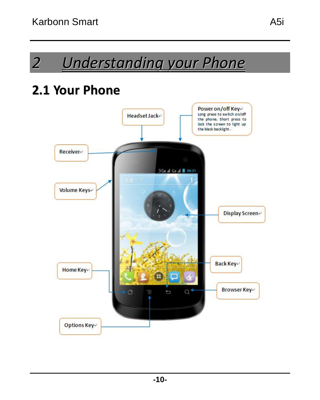### <span id="page-9-1"></span><span id="page-9-0"></span>**2.1 Your Phone**

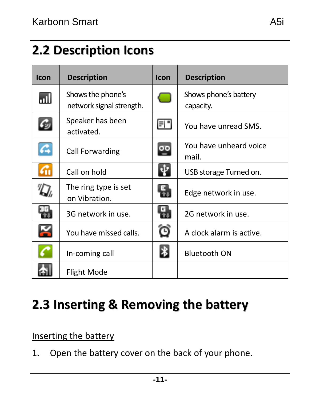<span id="page-10-0"></span>

| Icon | <b>Description</b>                            | Icon | <b>Description</b>                 |
|------|-----------------------------------------------|------|------------------------------------|
| ыU   | Shows the phone's<br>network signal strength. |      | Shows phone's battery<br>capacity. |
| 乴    | Speaker has been<br>activated.                | FI " | You have unread SMS.               |
| lay  | Call Forwarding                               | ᅇ    | You have unheard voice<br>mail.    |
| бñ   | Call on hold                                  |      | USB storage Turned on.             |
| G    | The ring type is set<br>on Vibration.         | 틳    | Edge network in use.               |
| ₽    | 3G network in use.                            | g    | 2G network in use.                 |
| ú    | You have missed calls.                        | Θ    | A clock alarm is active.           |
|      | In-coming call                                | ∗    | <b>Bluetooth ON</b>                |
|      | Flight Mode                                   |      |                                    |

### <span id="page-10-1"></span>**2.3 Inserting & Removing the battery**

#### Inserting the battery

1. Open the battery cover on the back of your phone.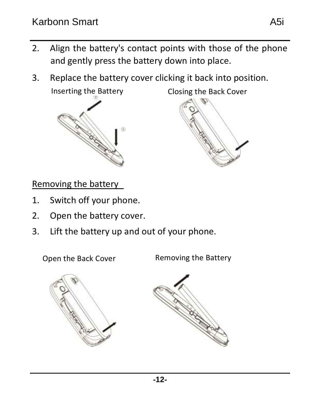- 2. Align the battery's contact points with those of the phone and gently press the battery down into place.
- 3. Replace the battery cover clicking it back into position.

Inserting the Battery



Closing the Back Cover

Removing the battery

- 1. Switch off your phone.
- 2. Open the battery cover.
- 3. Lift the battery up and out of your phone.

Open the Back Cover Removing the Battery



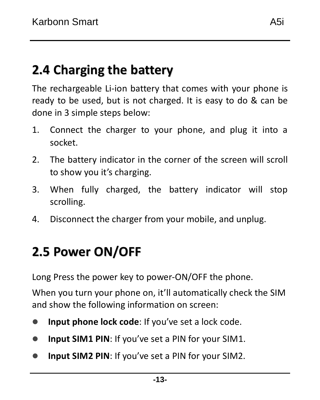<span id="page-12-0"></span>The rechargeable Li-ion battery that comes with your phone is ready to be used, but is not charged. It is easy to do & can be done in 3 simple steps below:

- 1. Connect the charger to your phone, and plug it into a socket.
- 2. The battery indicator in the corner of the screen will scroll to show you it's charging.
- 3. When fully charged, the battery indicator will stop scrolling.
- 4. Disconnect the charger from your mobile, and unplug.

### <span id="page-12-1"></span>**2.5 Power ON/OFF**

Long Press the power key to power-ON/OFF the phone.

When you turn your phone on, it'll automatically check the SIM and show the following information on screen:

- **Input phone lock code:** If you've set a lock code.
- **Input SIM1 PIN**: If you've set a PIN for your SIM1.
- **Input SIM2 PIN:** If you've set a PIN for your SIM2.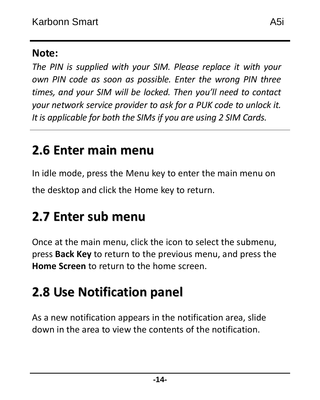#### **Note:**

*The PIN is supplied with your SIM. Please replace it with your own PIN code as soon as possible. Enter the wrong PIN three times, and your SIM will be locked. Then you'll need to contact your network service provider to ask for a PUK code to unlock it. It is applicable for both the SIMs if you are using 2 SIM Cards.* 

### <span id="page-13-0"></span>**2.6 Enter main menu**

In idle mode, press the Menu key to enter the main menu on the desktop and click the Home key to return.

### <span id="page-13-1"></span>**2.7 Enter sub menu**

Once at the main menu, click the icon to select the submenu, press **Back Key** to return to the previous menu, and press the **Home Screen** to return to the home screen.

## <span id="page-13-2"></span>**2.8 Use Notification panel**

As a new notification appears in the notification area, slide down in the area to view the contents of the notification.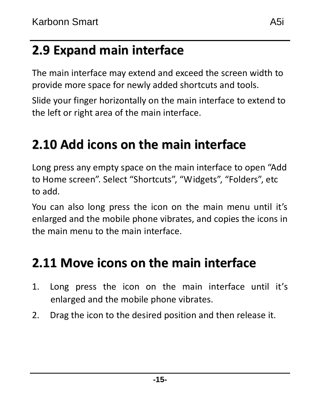### <span id="page-14-0"></span>**2.9 Expand main interface**

The main interface may extend and exceed the screen width to provide more space for newly added shortcuts and tools.

Slide your finger horizontally on the main interface to extend to the left or right area of the main interface.

### <span id="page-14-1"></span>**2.10 Add icons on the main interface**

Long press any empty space on the main interface to open "Add to Home screen". Select "Shortcuts", "Widgets", "Folders", etc to add.

You can also long press the icon on the main menu until it's enlarged and the mobile phone vibrates, and copies the icons in the main menu to the main interface.

### <span id="page-14-2"></span>**2.11 Move icons on the main interface**

- 1. Long press the icon on the main interface until it's enlarged and the mobile phone vibrates.
- 2. Drag the icon to the desired position and then release it.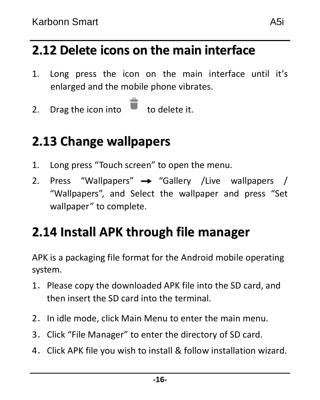### <span id="page-15-0"></span>**2.12 Delete icons on the main interface**

- 1. Long press the icon on the main interface until it's enlarged and the mobile phone vibrates.
- <span id="page-15-1"></span>2. Drag the icon into  $\Box$  to delete it.

### **2.13 Change wallpapers**

- 1. Long press "Touch screen" to open the menu.
- 2. Press "Wallpapers"  $\rightarrow$  "Gallery /Live wallpapers / "Wallpapers", and Select the wallpaper and press "Set wallpaper" to complete.

### <span id="page-15-2"></span>**2.14 Install APK through file manager**

APK is a packaging file format for th[e Android](http://en.wikipedia.org/wiki/Android_(mobile_device_platform)) mobil[e operating](http://en.wikipedia.org/wiki/Operating_system)  [system.](http://en.wikipedia.org/wiki/Operating_system)

- 1.Please copy the downloaded APK file into the SD card, and then insert the SD card into the terminal.
- 2. In idle mode, click Main Menu to enter the main menu.
- 3.Click "File Manager" to enter the directory of SD card.
- 4.Click APK file you wish to install & follow installation wizard.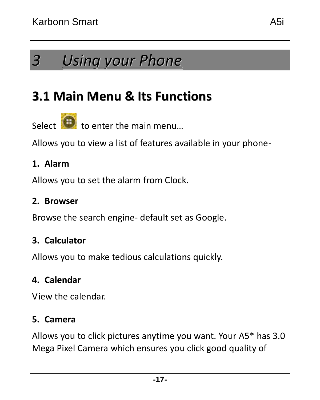### <span id="page-16-1"></span><span id="page-16-0"></span>**3.1 Main Menu & Its Functions**

Select  $\bigcirc$  to enter the main menu

Allows you to view a list of features available in your phone-

#### **1. Alarm**

Allows you to set the alarm from Clock.

#### **2. Browser**

Browse the search engine- default set as Google.

#### **3. Calculator**

Allows you to make tedious calculations quickly.

#### **4. Calendar**

View the calendar.

#### **5. Camera**

Allows you to click pictures anytime you want. Your A5\* has 3.0 Mega Pixel Camera which ensures you click good quality of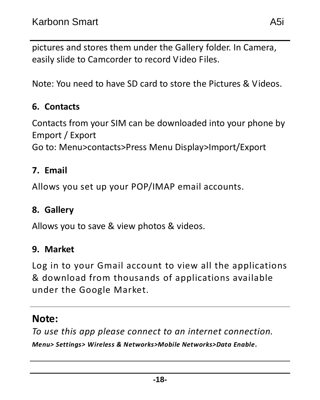pictures and stores them under the Gallery folder. In Camera, easily slide to Camcorder to record Video Files.

Note: You need to have SD card to store the Pictures & Videos.

#### **6. Contacts**

Contacts from your SIM can be downloaded into your phone by Emport / Export

Go to: Menu>contacts>Press Menu Display>Import/Export

#### **7. Email**

Allows you set up your POP/IMAP email accounts.

#### **8. Gallery**

Allows you to save & view photos & videos.

#### **9. Market**

Log in to your Gmail account to view all the applications & download from thousands of applications available under the Google Market.

#### **Note:**

*To use this app please connect to an internet connection.* 

*Menu> Settings> Wireless & Networks>Mobile Networks>Data Enable.*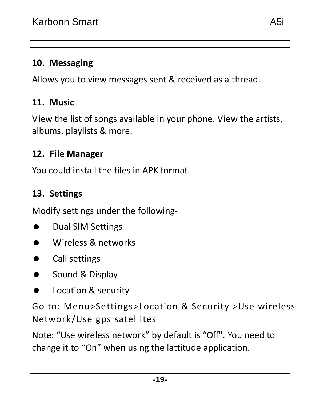#### **10. Messaging**

Allows you to view messages sent & received as a thread.

#### **11. Music**

View the list of songs available in your phone. View the artists, albums, playlists & more.

#### **12. File Manager**

You could install the files in APK format.

#### **13. Settings**

Modify settings under the following-

- **Dual SIM Settings**
- Wireless & networks
- **Call settings**
- **Sound & Display**
- **Location & security**

Go to: Menu>Settings>Location & Security >Use wireless Network/Use gps satellites

Note: "Use wireless network" by default is "Off". You need to change it to "On" when using the lattitude application.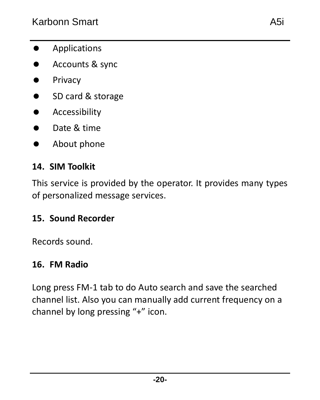- **•** Applications
- **Accounts & sync**
- **•** Privacy
- **SD card & storage**
- **Accessibility**
- **Date & time**
- About phone

#### **14. SIM Toolkit**

This service is provided by the operator. It provides many types of personalized message services.

#### **15. Sound Recorder**

Records sound.

#### **16. FM Radio**

Long press FM-1 tab to do Auto search and save the searched channel list. Also you can manually add current frequency on a channel by long pressing "+" icon.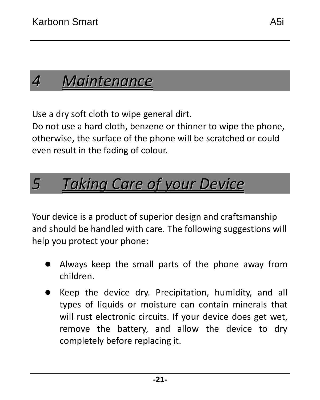# <span id="page-20-0"></span>*4 Maintenance*

Use a dry soft cloth to wipe general dirt.

Do not use a hard cloth, benzene or thinner to wipe the phone, otherwise, the surface of the phone will be scratched or could even result in the fading of colour.

# <span id="page-20-1"></span>*5 Taking Care of your Device*

Your device is a product of superior design and craftsmanship and should be handled with care. The following suggestions will help you protect your phone:

- Always keep the small parts of the phone away from children.
- Keep the device dry. Precipitation, humidity, and all types of liquids or moisture can contain minerals that will rust electronic circuits. If your device does get wet, remove the battery, and allow the device to dry completely before replacing it.